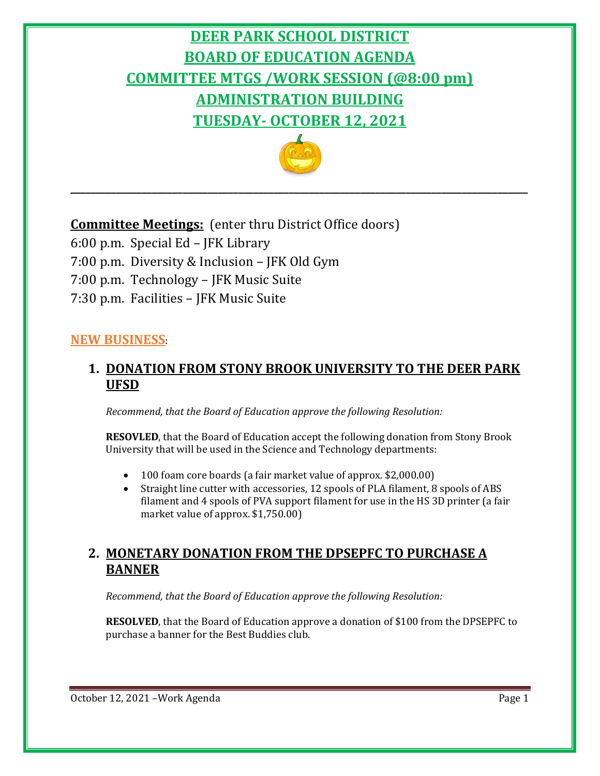# **DEER PARK SCHOOL DISTRICT BOARD OF EDUCATION AGENDA COMMITTEE MTGS /WORK SESSION (@8:00 pm) ADMINISTRATION BUILDING TUESDAY- OCTOBER 12, 2021**



**\_\_\_\_\_\_\_\_\_\_\_\_\_\_\_\_\_\_\_\_\_\_\_\_\_\_\_\_\_\_\_\_\_\_\_\_\_\_\_\_\_\_\_\_\_\_\_\_\_\_\_\_\_\_\_\_\_\_\_\_\_\_\_\_\_\_\_\_\_\_\_\_\_\_\_\_\_\_\_\_\_\_\_\_\_\_\_\_\_\_**

# **Committee Meetings:** (enter thru District Office doors)

- 6:00 p.m. Special Ed JFK Library
- 7:00 p.m. Diversity & Inclusion JFK Old Gym
- 7:00 p.m. Technology JFK Music Suite
- 7:30 p.m. Facilities JFK Music Suite

#### **NEW BUSINESS**:

#### **1. DONATION FROM STONY BROOK UNIVERSITY TO THE DEER PARK UFSD**

*Recommend, that the Board of Education approve the following Resolution:*

**RESOVLED**, that the Board of Education accept the following donation from Stony Brook University that will be used in the Science and Technology departments:

- 100 foam core boards (a fair market value of approx. \$2,000.00)
- Straight line cutter with accessories, 12 spools of PLA filament, 8 spools of ABS filament and 4 spools of PVA support filament for use in the HS 3D printer (a fair market value of approx. \$1,750.00)

#### **2. MONETARY DONATION FROM THE DPSEPFC TO PURCHASE A BANNER**

*Recommend, that the Board of Education approve the following Resolution:*

**RESOLVED**, that the Board of Education approve a donation of \$100 from the DPSEPFC to purchase a banner for the Best Buddies club.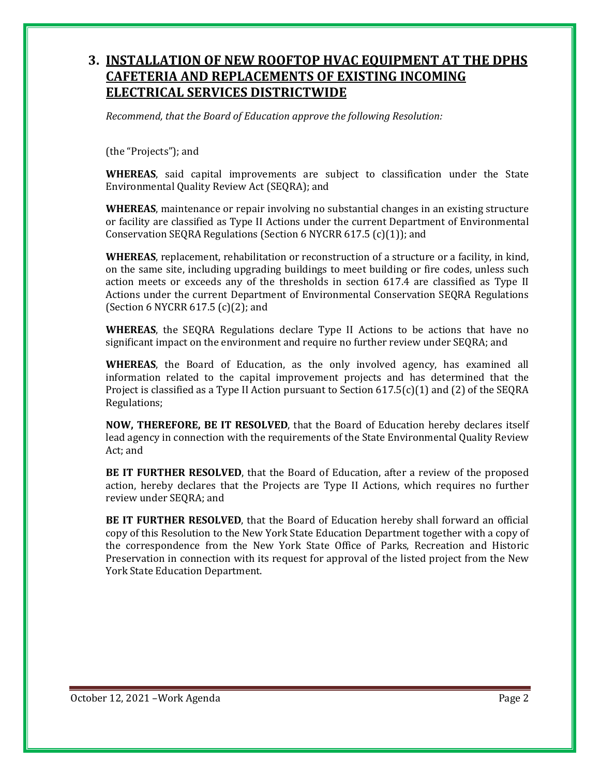#### **3. INSTALLATION OF NEW ROOFTOP HVAC EQUIPMENT AT THE DPHS CAFETERIA AND REPLACEMENTS OF EXISTING INCOMING ELECTRICAL SERVICES DISTRICTWIDE**

*Recommend, that the Board of Education approve the following Resolution:*

(the "Projects"); and

**WHEREAS**, said capital improvements are subject to classification under the State Environmental Quality Review Act (SEQRA); and

**WHEREAS**, maintenance or repair involving no substantial changes in an existing structure or facility are classified as Type II Actions under the current Department of Environmental Conservation SEQRA Regulations (Section 6 NYCRR 617.5 (c)(1)); and

**WHEREAS**, replacement, rehabilitation or reconstruction of a structure or a facility, in kind, on the same site, including upgrading buildings to meet building or fire codes, unless such action meets or exceeds any of the thresholds in section 617.4 are classified as Type II Actions under the current Department of Environmental Conservation SEQRA Regulations (Section 6 NYCRR 617.5 (c)(2); and

**WHEREAS**, the SEQRA Regulations declare Type II Actions to be actions that have no significant impact on the environment and require no further review under SEQRA; and

**WHEREAS**, the Board of Education, as the only involved agency, has examined all information related to the capital improvement projects and has determined that the Project is classified as a Type II Action pursuant to Section  $617.5(c)(1)$  and (2) of the SEQRA Regulations;

**NOW, THEREFORE, BE IT RESOLVED**, that the Board of Education hereby declares itself lead agency in connection with the requirements of the State Environmental Quality Review Act; and

**BE IT FURTHER RESOLVED**, that the Board of Education, after a review of the proposed action, hereby declares that the Projects are Type II Actions, which requires no further review under SEQRA; and

**BE IT FURTHER RESOLVED**, that the Board of Education hereby shall forward an official copy of this Resolution to the New York State Education Department together with a copy of the correspondence from the New York State Office of Parks, Recreation and Historic Preservation in connection with its request for approval of the listed project from the New York State Education Department.